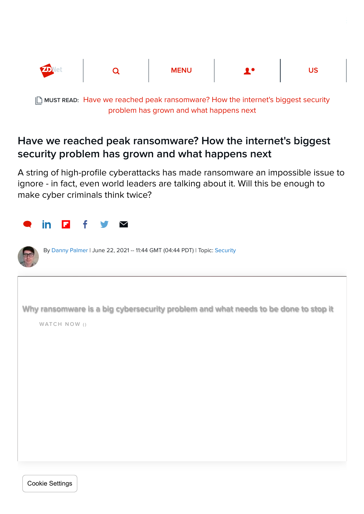

MUST READ: [Have we reached peak ransomware? How the internet's biggest security](https://www.zdnet.com/article/have-we-reached-peak-ransomware-how-the-internets-biggest-security-problem-has-grown-and-what-happens-next/) problem has grown and what happens next

# Have we reached peak ransomware? How the internet's biggest security problem has grown and what happens next

A string of high-profile cyberattacks has made ransomware an impossible issue to ignore - in fact, even world leaders are talking about it. Will this be enough to make cyber criminals think twice?

| in<br>$\ddot{f}$<br>п<br>$\blacktriangledown$                                                      |  |
|----------------------------------------------------------------------------------------------------|--|
| By Danny Palmer   June 22, 2021 -- 11:44 GMT (04:44 PDT)   Topic: Security                         |  |
| Why ransomware is a big cybersecurity problem and what needs to be done to stop it<br>WATCH NOW () |  |
|                                                                                                    |  |
|                                                                                                    |  |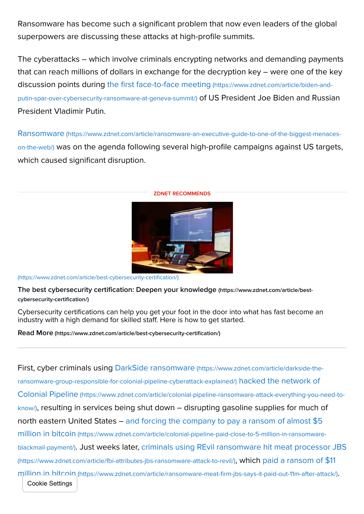Ransomware has become such a significant problem that now even leaders of the global superpowers are discussing these attacks at high-profile summits.

The cyberattacks – which involve criminals encrypting networks and demanding payments that can reach millions of dollars in exchange for the decryption key – were one of the key [discussion points during the first face-to-face meeting](https://www.zdnet.com/article/biden-and-putin-spar-over-cybersecurity-ransomware-at-geneva-summit/) (https://www.zdnet.com/article/biden-andputin-spar-over-cybersecurity-ransomware-at-geneva-summit/) of US President Joe Biden and Russian President Vladimir Putin.

Ransomware (https://www.zdnet.com/article/ransomware-an-executive-guide-to-one-of-the-biggest-menaceson-the-web/) [was on the agenda following several high-profile campaigns against US targets,](https://www.zdnet.com/article/ransomware-an-executive-guide-to-one-of-the-biggest-menaces-on-the-web/) which caused significant disruption.



#### ZDNET RECOMMENDS

[\(https://www.zdnet.com/article/best-cybersecurity-certification/\)](https://www.zdnet.com/article/best-cybersecurity-certification/)

[The best cybersecurity certification: Deepen your knowledge](https://www.zdnet.com/article/best-cybersecurity-certification/) (https://www.zdnet.com/article/bestcybersecurity-certification/)

Cybersecurity certifications can help you get your foot in the door into what has fast become an industry with a high demand for skilled staff. Here is how to get started.

Read More [\(https://www.zdnet.com/article/best-cybersecurity-certification/\)](https://www.zdnet.com/article/best-cybersecurity-certification/)

[First, cyber criminals using DarkSide ransomware](https://www.zdnet.com/article/darkside-the-ransomware-group-responsible-for-colonial-pipeline-cyberattack-explained/) (https://www.zdnet.com/article/darkside-theransomware-group-responsible-for-colonial-pipeline-cyberattack-explained/) hacked the network of Colonial Pipeline (https://www.zdnet.com/article/colonial-pipeline-ransomware-attack-everything-you-need-toknow/)[, resulting in services being shut down – disrupting gasoline supplies for much of](https://www.zdnet.com/article/colonial-pipeline-ransomware-attack-everything-you-need-to-know/) [north eastern United States – and forcing the company to pay a ransom of almost \\$5](https://www.zdnet.com/article/colonial-pipeline-paid-close-to-5-million-in-ransomware-blackmail-payment/) million in bitcoin (https://www.zdnet.com/article/colonial-pipeline-paid-close-to-5-million-in-ransomwareblackmail-payment/)[. Just weeks later, criminals using REvil ransomware hit meat processor JBS](https://www.zdnet.com/article/fbi-attributes-jbs-ransomware-attack-to-revil/) (https://www.zdnet.com/article/fbi-attributes-jbs-ransomware-attack-to-revil/), which paid a ransom of \$11 million in bitcoin [\(https://www.zdnet.com/article/ransomware-meat-firm-jbs-says-it-paid-out-11m-after-attack/\)](https://www.zdnet.com/article/ransomware-meat-firm-jbs-says-it-paid-out-11m-after-attack/). Cookie Settings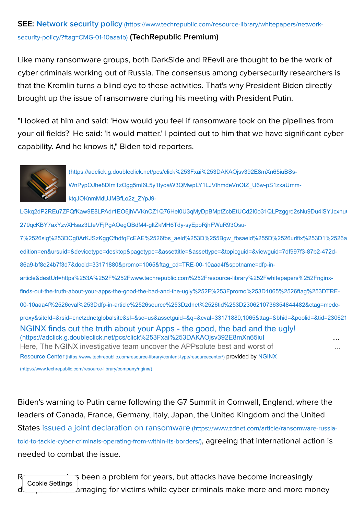# SEE: Network security policy [\(https://www.techrepublic.com/resource-library/whitepapers/network-](https://www.techrepublic.com/resource-library/whitepapers/network-security-policy/?ftag=CMG-01-10aaa1b)

#### security-policy/?ftag=CMG-01-10aaa1b) (TechRepublic Premium)

Like many ransomware groups, both DarkSide and REevil are thought to be the work of cyber criminals working out of Russia. The consensus among cybersecurity researchers is that the Kremlin turns a blind eye to these activities. That's why President Biden directly brought up the issue of ransomware during his meeting with President Putin.

"I looked at him and said: 'How would you feel if ransomware took on the pipelines from your oil fields?' He said: 'It would matter.' I pointed out to him that we have significant cyber capability. And he knows it," Biden told reporters.



(https://adclick.g.doubleclick.net/pcs/click%253Fxai%253DAKAOjsv392E8mXn65iuBSs-WnPypOJhe8DIm1zOgg5mI6L5y1tyoaW3QMwpLY1LJVthmdeVnOIZ\_U6w-pS1zxaUmmktqJOKnmMdUJMBfLo2z\_ZYpJ9-

LGkq2dP2REu7ZFQfKaw9E8LPAdr1EO6jhVVKnCZ1Q76Hel0U3qMyDpBMptZcbEtUCd2l0o31QLPzggrd2sNu9Du4iSYJcxnu 279qcKBY7axYzvXHsaz3LIeVFjPgAOegQBdM4-gltZkMH6Tdy-syEpoRjhFWuR93Osu-

[NGINX finds out the truth about your Apps - the good, the bad and the ugly!](https://adclick.g.doubleclick.net/pcs/click%253Fxai%253DAKAOjsv392E8mXn65iuBSs-WnPypOJhe8DIm1zOgg5mI6L5y1tyoaW3QMwpLY1LJVthmdeVnOIZ_U6w-pS1zxaUmm-ktqJOKnmMdUJMBfLo2z_ZYpJ9-LGkq2dP2REu7ZFQfKaw9E8LPAdr1EO6jhVVKnCZ1Q76Hel0U3qMyDpBMptZcbEtUCd2I0o31QLPzggrd2sNu9Du4iSYJcxnuGiIVLGjky0vBXN24g7fEfVp9Yi-279qcKBY7axYzvXHsaz3LIeVFjPgAOegQBdM4-gltZkMH6Tdy-syEpoRjhFWuR93Osu-7%2526sig%253DCg0ArKJSzKggCfhdfqFcEAE%2526fbs_aeid%253D%255Bgw_fbsaeid%255D%2526urlfix%253D1%2526adurl%253Dhttps://lnk.techrepublic.com/redir?edition=en&ursuid=&devicetype=desktop&pagetype=&assettitle=&assettype=&topicguid=&viewguid=7df997f3-87b2-472d-86a9-bf8e24b7f3d7&docid=33171880&promo=1065&ftag_cd=TRE-00-10aaa4f&spotname=dfp-in-article&destUrl=https%253A%252F%252Fwww.techrepublic.com%252Fresource-library%252Fwhitepapers%252Fnginx-finds-out-the-truth-about-your-apps-the-good-the-bad-and-the-ugly%252F%253Fpromo%253D1065%2526ftag%253DTRE-00-10aaa4f%2526cval%253Ddfp-in-article%2526source%253Dzdnet%2526tid%253D2306210736354844482&ctag=medc-proxy&siteId=&rsid=cnetzdnetglobalsite&sl=&sc=us&assetguid=&q=&cval=33171880;1065&ttag=&bhid=&poolid=&tid=2306210736354844482) (https://adclick.g.doubleclick.net/pcs/click%253Fxai%253DAKAOisv392E8mXn65iul Here, The NGINX investigative team uncover the APPsolute best and worst of 7%2526sig%253DCg0ArKJSzKggCfhdfqFcEAE%2526fbs\_aeid%253D%255Bgw\_fbsaeid%255D%2526urlfix%253D1%2526a edition=en&ursuid=&devicetype=desktop&pagetype=&assettitle=&assettype=&topicguid=&viewguid=7df997f3-87b2-472d-86a9-bf8e24b7f3d7&docid=33171880&promo=1065&ftag\_cd=TRE-00-10aaa4f&spotname=dfp-inarticle&destUrl=https%253A%252F%252Fwww.techrepublic.com%252Fresource-library%252Fwhitepapers%252Fnginxfinds-out-the-truth-about-your-apps-the-good-the-bad-and-the-ugly%252F%253Fpromo%253D1065%2526ftag%253DTRE-00-10aaa4f%2526cval%253Ddfp-in-article%2526source%253Dzdnet%2526tid%253D2306210736354844482&ctag=medcproxy&siteId=&rsid=cnetzdnetglobalsite&sl=&sc=us&assetguid=&q=&cval=33171880;1065&ttag=&bhid=&poolid=&tid=230621 Resource Center [\(https://www.techrepublic.com/resource-library/content-type/resourcecenter/](https://www.techrepublic.com/resource-library/content-type/resourcecenter/)[\)](https://www.techrepublic.com/resource-library/company/nginx/) provided by NGINX ... ...

(https://www.techrepublic.com/resource-library/company/nginx/)

Biden's warning to Putin came following the G7 Summit in Cornwall, England, where the leaders of Canada, France, Germany, Italy, Japan, the United Kingdom and the United [States issued a joint declaration on ransomware](https://www.zdnet.com/article/ransomware-russia-told-to-tackle-cyber-criminals-operating-from-within-its-borders/) (https://www.zdnet.com/article/ransomware-russiatold-to-tackle-cyber-criminals-operating-from-within-its-borders/), agreeing that international action is needed to combat the issue.

 $R$ and  $\overline{\phantom{a}}$  is been a problem for years, but attacks have become increasingly distructive anaging for victims while cyber criminals make more and more money Cookie Settings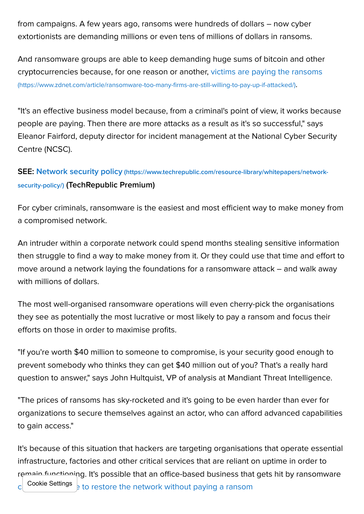from campaigns. A few years ago, ransoms were hundreds of dollars – now cyber extortionists are demanding millions or even tens of millions of dollars in ransoms.

And ransomware groups are able to keep demanding huge sums of bitcoin and other [cryptocurrencies because, for one reason or another, victims are paying the ransoms](https://www.zdnet.com/article/ransomware-too-many-firms-are-still-willing-to-pay-up-if-attacked/) (https://www.zdnet.com/article/ransomware-too-many-firms-are-still-willing-to-pay-up-if-attacked/).

"It's an effective business model because, from a criminal's point of view, it works because people are paying. Then there are more attacks as a result as it's so successful," says Eleanor Fairford, deputy director for incident management at the National Cyber Security Centre (NCSC).

# SEE: Network security policy [\(https://www.techrepublic.com/resource-library/whitepapers/network](https://www.techrepublic.com/resource-library/whitepapers/network-security-policy/)security-policy/) (TechRepublic Premium)

For cyber criminals, ransomware is the easiest and most efficient way to make money from a compromised network.

An intruder within a corporate network could spend months stealing sensitive information then struggle to find a way to make money from it. Or they could use that time and effort to move around a network laying the foundations for a ransomware attack – and walk away with millions of dollars.

The most well-organised ransomware operations will even cherry-pick the organisations they see as potentially the most lucrative or most likely to pay a ransom and focus their efforts on those in order to maximise profits.

"If you're worth \$40 million to someone to compromise, is your security good enough to prevent somebody who thinks they can get \$40 million out of you? That's a really hard question to answer," says John Hultquist, VP of analysis at Mandiant Threat Intelligence.

"The prices of ransoms has sky-rocketed and it's going to be even harder than ever for organizations to secure themselves against an actor, who can afford advanced capabilities to gain access."

It's because of this situation that hackers are targeting organisations that operate essential infrastructure, factories and other critical services that are reliant on uptime in order to remain functioning. It's possible that an office-based business that gets hit by ransomware c Cookie Settings  $\frac{1}{8}$  to restore the network without paying a ransom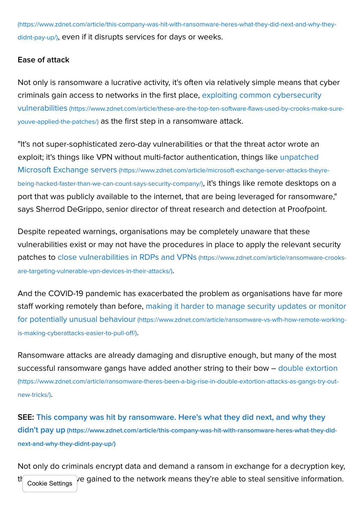[\(https://www.zdnet.com/article/this-company-was-hit-with-ransomware-heres-what-they-did-next-and-why-they](https://www.zdnet.com/article/this-company-was-hit-with-ransomware-heres-what-they-did-next-and-why-they-didnt-pay-up/)didnt-pay-up/), even if it disrupts services for days or weeks.

# Ease of attack

Not only is ransomware a lucrative activity, it's often via relatively simple means that cyber [criminals gain access to networks in the first place, exploiting common cybersecurity](https://www.zdnet.com/article/these-are-the-top-ten-software-flaws-used-by-crooks-make-sure-youve-applied-the-patches/) vulnerabilities (https://www.zdnet.com/article/these-are-the-top-ten-software-flaws-used-by-crooks-make-sureyouve-applied-the-patches/) as the first step in a ransomware attack.

"It's not super-sophisticated zero-day vulnerabilities or that the threat actor wrote an [exploit; it's things like VPN without multi-factor authentication, things like unpatched](https://www.zdnet.com/article/microsoft-exchange-server-attacks-theyre-being-hacked-faster-than-we-can-count-says-security-company/) Microsoft Exchange servers (https://www.zdnet.com/article/microsoft-exchange-server-attacks-theyrebeing-hacked-faster-than-we-can-count-says-security-company/), it's things like remote desktops on a port that was publicly available to the internet, that are being leveraged for ransomware," says Sherrod DeGrippo, senior director of threat research and detection at Proofpoint.

Despite repeated warnings, organisations may be completely unaware that these vulnerabilities exist or may not have the procedures in place to apply the relevant security [patches to close vulnerabilities in RDPs and VPNs](https://www.zdnet.com/article/ransomware-crooks-are-targeting-vulnerable-vpn-devices-in-their-attacks/) (https://www.zdnet.com/article/ransomware-crooksare-targeting-vulnerable-vpn-devices-in-their-attacks/).

And the COVID-19 pandemic has exacerbated the problem as organisations have far more [staff working remotely than before, making it harder to manage security updates or monitor](https://www.zdnet.com/article/ransomware-vs-wfh-how-remote-working-is-making-cyberattacks-easier-to-pull-off/) for potentially unusual behaviour (https://www.zdnet.com/article/ransomware-vs-wfh-how-remote-workingis-making-cyberattacks-easier-to-pull-off/).

Ransomware attacks are already damaging and disruptive enough, but many of the most [successful ransomware gangs have added another string to their bow – double extortion](https://www.zdnet.com/article/ransomware-theres-been-a-big-rise-in-double-extortion-attacks-as-gangs-try-out-new-tricks/) (https://www.zdnet.com/article/ransomware-theres-been-a-big-rise-in-double-extortion-attacks-as-gangs-try-outnew-tricks/).

[SEE: This company was hit by ransomware. Here's what they did next, and why they](https://www.zdnet.com/article/this-company-was-hit-with-ransomware-heres-what-they-did-next-and-why-they-didnt-pay-up/) didn't pay up (https://www.zdnet.com/article/this-company-was-hit-with-ransomware-heres-what-they-didnext-and-why-they-didnt-pay-up/)

Not only do criminals encrypt data and demand a ransom in exchange for a decryption key,  $t$  Cookie Settings  $\epsilon$  e gained to the network means they're able to steal sensitive information.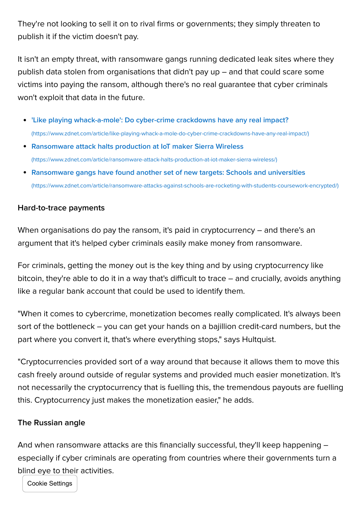They're not looking to sell it on to rival firms or governments; they simply threaten to publish it if the victim doesn't pay.

It isn't an empty threat, with ransomware gangs running dedicated leak sites where they publish data stolen from organisations that didn't pay up – and that could scare some victims into paying the ransom, although there's no real guarantee that cyber criminals won't exploit that data in the future.

- ['Like playing whack-a-mole': Do cyber-crime crackdowns have any real impact?](https://www.zdnet.com/article/like-playing-whack-a-mole-do-cyber-crime-crackdowns-have-any-real-impact/) (https://www.zdnet.com/article/like-playing-whack-a-mole-do-cyber-crime-crackdowns-have-any-real-impact/)
- [Ransomware attack halts production at IoT maker Sierra Wireless](https://www.zdnet.com/article/ransomware-attack-halts-production-at-iot-maker-sierra-wireless/) (https://www.zdnet.com/article/ransomware-attack-halts-production-at-iot-maker-sierra-wireless/)
- [Ransomware gangs have found another set of new targets: Schools and universities](https://www.zdnet.com/article/ransomware-attacks-against-schools-are-rocketing-with-students-coursework-encrypted/) (https://www.zdnet.com/article/ransomware-attacks-against-schools-are-rocketing-with-students-coursework-encrypted/)

### Hard-to-trace payments

When organisations do pay the ransom, it's paid in cryptocurrency – and there's an argument that it's helped cyber criminals easily make money from ransomware.

For criminals, getting the money out is the key thing and by using cryptocurrency like bitcoin, they're able to do it in a way that's difficult to trace – and crucially, avoids anything like a regular bank account that could be used to identify them.

"When it comes to cybercrime, monetization becomes really complicated. It's always been sort of the bottleneck – you can get your hands on a bajillion credit-card numbers, but the part where you convert it, that's where everything stops," says Hultquist.

"Cryptocurrencies provided sort of a way around that because it allows them to move this cash freely around outside of regular systems and provided much easier monetization. It's not necessarily the cryptocurrency that is fuelling this, the tremendous payouts are fuelling this. Cryptocurrency just makes the monetization easier," he adds.

#### The Russian angle

And when ransomware attacks are this financially successful, they'll keep happening – especially if cyber criminals are operating from countries where their governments turn a blind eye to their activities.

Cookie Settings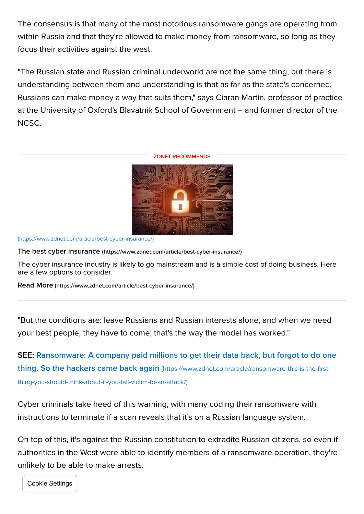The consensus is that many of the most notorious ransomware gangs are operating from within Russia and that they're allowed to make money from ransomware, so long as they focus their activities against the west.

"The Russian state and Russian criminal underworld are not the same thing, but there is understanding between them and understanding is that as far as the state's concerned, Russians can make money a way that suits them," says Ciaran Martin, professor of practice at the University of Oxford's Blavatnik School of Government – and former director of the NCSC.

#### ZDNET RECOMMENDS



[\(https://www.zdnet.com/article/best-cyber-insurance/\)](https://www.zdnet.com/article/best-cyber-insurance/)

The best cyber insurance [\(https://www.zdnet.com/article/best-cyber-insurance/\)](https://www.zdnet.com/article/best-cyber-insurance/)

The cyber insurance industry is likely to go mainstream and is a simple cost of doing business. Here are a few options to consider.

Read More [\(https://www.zdnet.com/article/best-cyber-insurance/\)](https://www.zdnet.com/article/best-cyber-insurance/)

"But the conditions are: leave Russians and Russian interests alone, and when we need your best people, they have to come; that's the way the model has worked."

[SEE: Ransomware: A company paid millions to get their data back, but forgot to do one](https://www.zdnet.com/article/ransomware-this-is-the-first-thing-you-should-think-about-if-you-fall-victim-to-an-attack/) thing. So the hackers came back again (https://www.zdnet.com/article/ransomware-this-is-the-firstthing-you-should-think-about-if-you-fall-victim-to-an-attack/)

Cyber criminals take heed of this warning, with many coding their ransomware with instructions to terminate if a scan reveals that it's on a Russian language system.

On top of this, it's against the Russian constitution to extradite Russian citizens, so even if authorities in the West were able to identify members of a ransomware operation, they're unlikely to be able to make arrests.

Cookie Settings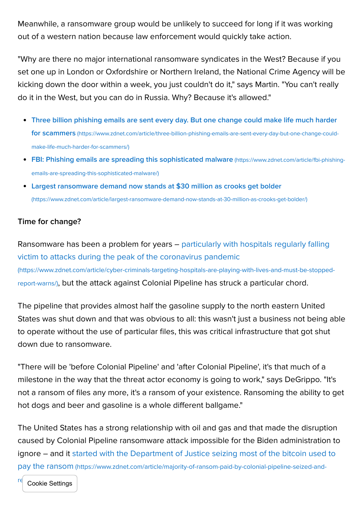Meanwhile, a ransomware group would be unlikely to succeed for long if it was working out of a western nation because law enforcement would quickly take action.

"Why are there no major international ransomware syndicates in the West? Because if you set one up in London or Oxfordshire or Northern Ireland, the National Crime Agency will be kicking down the door within a week, you just couldn't do it," says Martin. "You can't really do it in the West, but you can do in Russia. Why? Because it's allowed."

- [Three billion phishing emails are sent every day. But one change could make life much harder](https://www.zdnet.com/article/three-billion-phishing-emails-are-sent-every-day-but-one-change-could-make-life-much-harder-for-scammers/) for scammers (https://www.zdnet.com/article/three-billion-phishing-emails-are-sent-every-day-but-one-change-couldmake-life-much-harder-for-scammers/)
- [FBI: Phishing emails are spreading this sophisticated malware](https://www.zdnet.com/article/fbi-phishing-emails-are-spreading-this-sophisticated-malware/) (https://www.zdnet.com/article/fbi-phishingemails-are-spreading-this-sophisticated-malware/)
- [Largest ransomware demand now stands at \\$30 million as crooks get bolder](https://www.zdnet.com/article/largest-ransomware-demand-now-stands-at-30-million-as-crooks-get-bolder/) (https://www.zdnet.com/article/largest-ransomware-demand-now-stands-at-30-million-as-crooks-get-bolder/)

### Time for change?

[Ransomware has been a problem for years – particularly with hospitals regularly falling](https://www.zdnet.com/article/cyber-criminals-targeting-hospitals-are-playing-with-lives-and-must-be-stopped-report-warns/) victim to attacks during the peak of the coronavirus pandemic (https://www.zdnet.com/article/cyber-criminals-targeting-hospitals-are-playing-with-lives-and-must-be-stoppedreport-warns/), but the attack against Colonial Pipeline has struck a particular chord.

The pipeline that provides almost half the gasoline supply to the north eastern United States was shut down and that was obvious to all: this wasn't just a business not being able to operate without the use of particular files, this was critical infrastructure that got shut down due to ransomware.

"There will be 'before Colonial Pipeline' and 'after Colonial Pipeline', it's that much of a milestone in the way that the threat actor economy is going to work," says DeGrippo. "It's not a ransom of files any more, it's a ransom of your existence. Ransoming the ability to get hot dogs and beer and gasoline is a whole different ballgame."

The United States has a strong relationship with oil and gas and that made the disruption caused by Colonial Pipeline ransomware attack impossible for the Biden administration to [ignore – and it started with the Department of Justice seizing most of the bitcoin used to](https://www.zdnet.com/article/majority-of-ransom-paid-by-colonial-pipeline-seized-and-returned-by-doj/) pay the ransom (https://www.zdnet.com/article/majority-of-ransom-paid-by-colonial-pipeline-seized-and-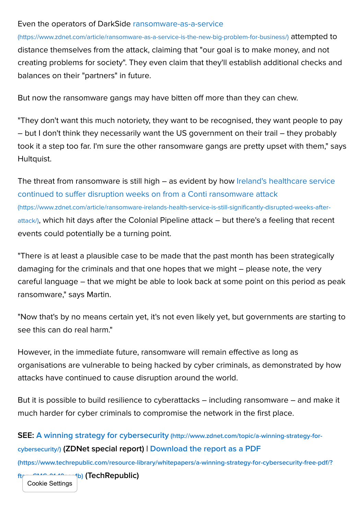#### Even the operators of DarkSide ransomware-as-a-service

[\(https://www.zdnet.com/article/ransomware-as-a-service-is-the-new-big-problem-for-business/\)](https://www.zdnet.com/article/ransomware-as-a-service-is-the-new-big-problem-for-business/) attempted to distance themselves from the attack, claiming that "our goal is to make money, and not creating problems for society". They even claim that they'll establish additional checks and balances on their "partners" in future.

But now the ransomware gangs may have bitten off more than they can chew.

"They don't want this much notoriety, they want to be recognised, they want people to pay – but I don't think they necessarily want the US government on their trail – they probably took it a step too far. I'm sure the other ransomware gangs are pretty upset with them," says Hultquist.

[The threat from ransomware is still high – as evident by how Ireland's healthcare service](https://www.zdnet.com/article/ransomware-irelands-health-service-is-still-significantly-disrupted-weeks-after-attack/) continued to suffer disruption weeks on from a Conti ransomware attack (https://www.zdnet.com/article/ransomware-irelands-health-service-is-still-significantly-disrupted-weeks-afterattack/), which hit days after the Colonial Pipeline attack – but there's a feeling that recent events could potentially be a turning point.

"There is at least a plausible case to be made that the past month has been strategically damaging for the criminals and that one hopes that we might – please note, the very careful language – that we might be able to look back at some point on this period as peak ransomware," says Martin.

"Now that's by no means certain yet, it's not even likely yet, but governments are starting to see this can do real harm."

However, in the immediate future, ransomware will remain effective as long as organisations are vulnerable to being hacked by cyber criminals, as demonstrated by how attacks have continued to cause disruption around the world.

But it is possible to build resilience to cyberattacks – including ransomware – and make it much harder for cyber criminals to compromise the network in the first place.

# SEE: A winning strategy for cybersecurity (http://www.zdnet.com/topic/a-winning-strategy-forcybersecurity/) [\(ZDNet special report\) | Download the report as a PDF](http://www.zdnet.com/topic/a-winning-strategy-for-cybersecurity/)

[\(https://www.techrepublic.com/resource-library/whitepapers/a-winning-strategy-for-cybersecurity-free-pdf/?](https://www.techrepublic.com/resource-library/whitepapers/a-winning-strategy-for-cybersecurity-free-pdf/?ftag=CMG-01-10aaa1b)

1b) (TechRepublic) Cookie Settings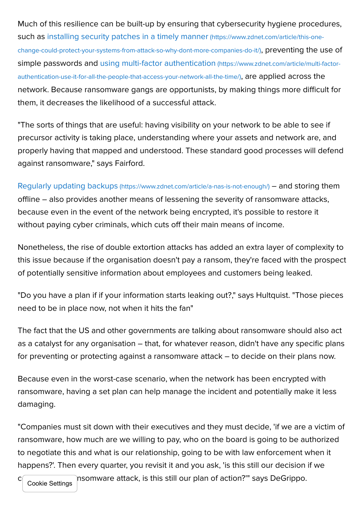Much of this resilience can be built-up by ensuring that cybersecurity hygiene procedures, such as installing security patches in a timely manner (https://www.zdnet.com/article/this-one[change-could-protect-your-systems-from-attack-so-why-dont-more-companies-do-it/\)](https://www.zdnet.com/article/this-one-change-could-protect-your-systems-from-attack-so-why-dont-more-companies-do-it/), preventing the use of [simple passwords and using multi-factor authentication](https://www.zdnet.com/article/multi-factor-authentication-use-it-for-all-the-people-that-access-your-network-all-the-time/) (https://www.zdnet.com/article/multi-factorauthentication-use-it-for-all-the-people-that-access-your-network-all-the-time/), are applied across the network. Because ransomware gangs are opportunists, by making things more difficult for them, it decreases the likelihood of a successful attack.

"The sorts of things that are useful: having visibility on your network to be able to see if precursor activity is taking place, understanding where your assets and network are, and properly having that mapped and understood. These standard good processes will defend against ransomware," says Fairford.

Regularly updating backups [\(https://www.zdnet.com/article/a-nas-is-not-enough/\)](https://www.zdnet.com/article/a-nas-is-not-enough/) – and storing them offline – also provides another means of lessening the severity of ransomware attacks, because even in the event of the network being encrypted, it's possible to restore it without paying cyber criminals, which cuts off their main means of income.

Nonetheless, the rise of double extortion attacks has added an extra layer of complexity to this issue because if the organisation doesn't pay a ransom, they're faced with the prospect of potentially sensitive information about employees and customers being leaked.

"Do you have a plan if if your information starts leaking out?," says Hultquist. "Those pieces need to be in place now, not when it hits the fan"

The fact that the US and other governments are talking about ransomware should also act as a catalyst for any organisation – that, for whatever reason, didn't have any specific plans for preventing or protecting against a ransomware attack – to decide on their plans now.

Because even in the worst-case scenario, when the network has been encrypted with ransomware, having a set plan can help manage the incident and potentially make it less damaging.

"Companies must sit down with their executives and they must decide, 'if we are a victim of ransomware, how much are we willing to pay, who on the board is going to be authorized to negotiate this and what is our relationship, going to be with law enforcement when it happens?'. Then every quarter, you revisit it and you ask, 'is this still our decision if we

 $c_{\text{max}}$  a random must a random vara-attack, is this still our plan of action?'" says DeGrippo.